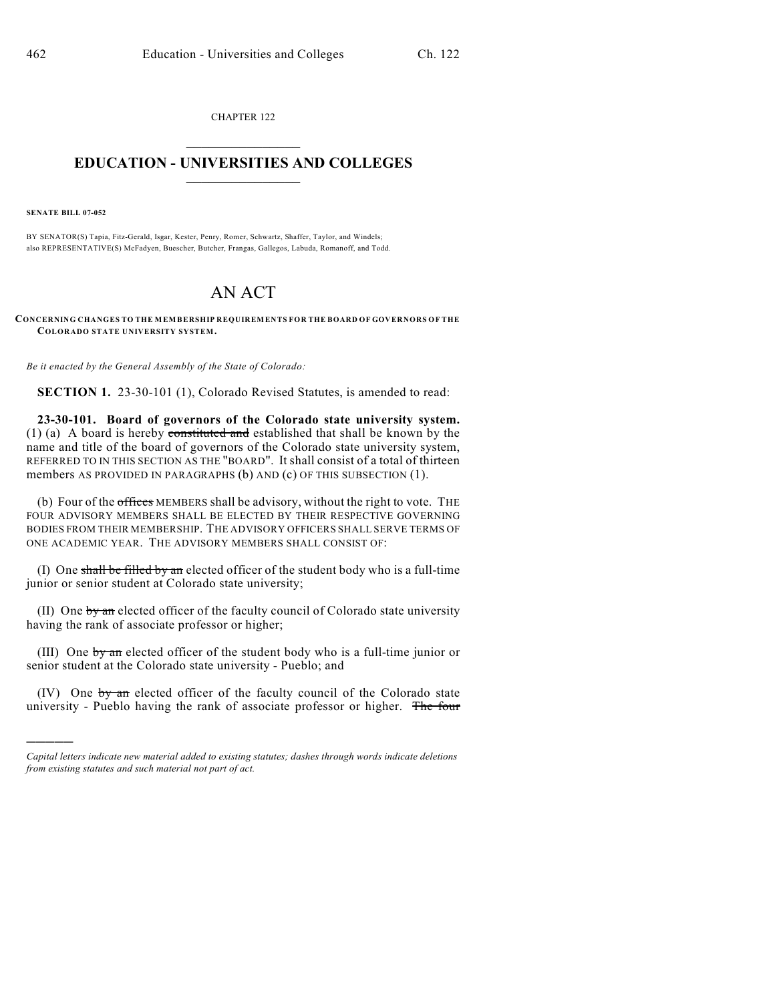CHAPTER 122  $\mathcal{L}_\text{max}$  . The set of the set of the set of the set of the set of the set of the set of the set of the set of the set of the set of the set of the set of the set of the set of the set of the set of the set of the set

## **EDUCATION - UNIVERSITIES AND COLLEGES**  $\frac{1}{2}$  ,  $\frac{1}{2}$  ,  $\frac{1}{2}$  ,  $\frac{1}{2}$  ,  $\frac{1}{2}$  ,  $\frac{1}{2}$  ,  $\frac{1}{2}$

**SENATE BILL 07-052**

)))))

BY SENATOR(S) Tapia, Fitz-Gerald, Isgar, Kester, Penry, Romer, Schwartz, Shaffer, Taylor, and Windels; also REPRESENTATIVE(S) McFadyen, Buescher, Butcher, Frangas, Gallegos, Labuda, Romanoff, and Todd.

## AN ACT

**CONCERNING CHANGES TO THE MEMBERSHIP REQUIREMENTS FOR THE BOARD OF GOVERNORS OF THE COLORADO STATE UNIVERSITY SYSTEM.**

*Be it enacted by the General Assembly of the State of Colorado:*

**SECTION 1.** 23-30-101 (1), Colorado Revised Statutes, is amended to read:

**23-30-101. Board of governors of the Colorado state university system.** (1) (a) A board is hereby constituted and established that shall be known by the name and title of the board of governors of the Colorado state university system, REFERRED TO IN THIS SECTION AS THE "BOARD". It shall consist of a total of thirteen members AS PROVIDED IN PARAGRAPHS (b) AND (c) OF THIS SUBSECTION (1).

(b) Four of the offices MEMBERS shall be advisory, without the right to vote. THE FOUR ADVISORY MEMBERS SHALL BE ELECTED BY THEIR RESPECTIVE GOVERNING BODIES FROM THEIR MEMBERSHIP. THE ADVISORY OFFICERS SHALL SERVE TERMS OF ONE ACADEMIC YEAR. THE ADVISORY MEMBERS SHALL CONSIST OF:

(I) One shall be filled by an elected officer of the student body who is a full-time junior or senior student at Colorado state university;

(II) One  $\frac{1}{2}$  on elected officer of the faculty council of Colorado state university having the rank of associate professor or higher;

(III) One by an elected officer of the student body who is a full-time junior or senior student at the Colorado state university - Pueblo; and

(IV) One by an elected officer of the faculty council of the Colorado state university - Pueblo having the rank of associate professor or higher. The four

*Capital letters indicate new material added to existing statutes; dashes through words indicate deletions from existing statutes and such material not part of act.*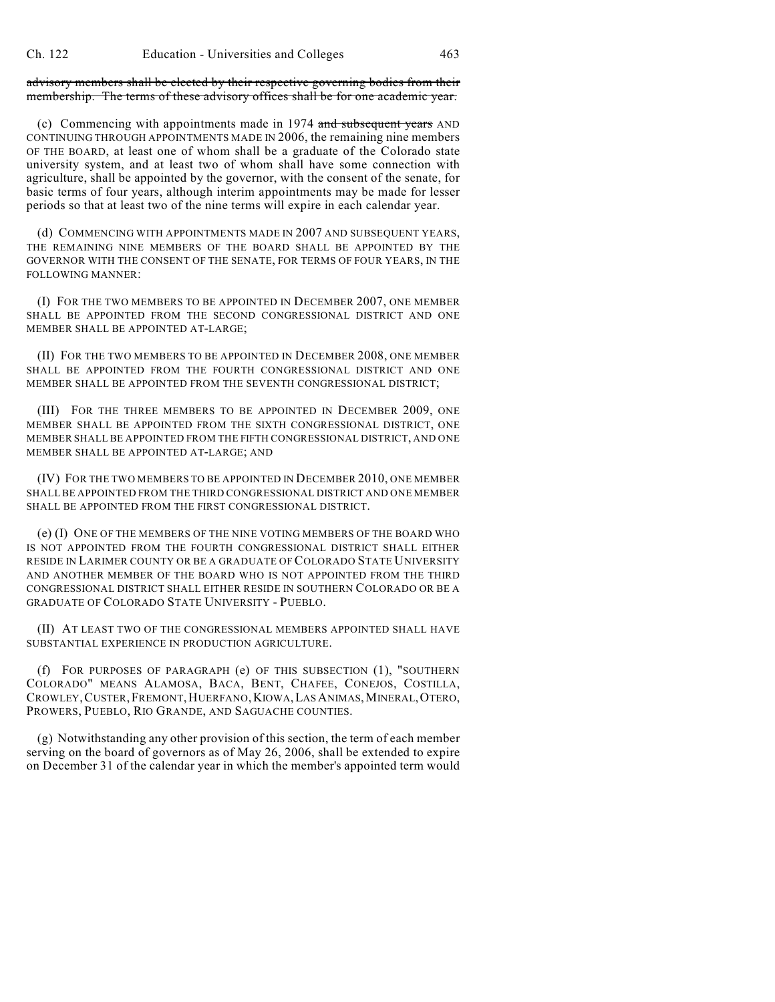advisory members shall be elected by their respective governing bodies from their membership. The terms of these advisory offices shall be for one academic year.

(c) Commencing with appointments made in 1974 and subsequent years AND CONTINUING THROUGH APPOINTMENTS MADE IN 2006, the remaining nine members OF THE BOARD, at least one of whom shall be a graduate of the Colorado state university system, and at least two of whom shall have some connection with agriculture, shall be appointed by the governor, with the consent of the senate, for basic terms of four years, although interim appointments may be made for lesser periods so that at least two of the nine terms will expire in each calendar year.

(d) COMMENCING WITH APPOINTMENTS MADE IN 2007 AND SUBSEQUENT YEARS, THE REMAINING NINE MEMBERS OF THE BOARD SHALL BE APPOINTED BY THE GOVERNOR WITH THE CONSENT OF THE SENATE, FOR TERMS OF FOUR YEARS, IN THE FOLLOWING MANNER:

(I) FOR THE TWO MEMBERS TO BE APPOINTED IN DECEMBER 2007, ONE MEMBER SHALL BE APPOINTED FROM THE SECOND CONGRESSIONAL DISTRICT AND ONE MEMBER SHALL BE APPOINTED AT-LARGE;

(II) FOR THE TWO MEMBERS TO BE APPOINTED IN DECEMBER 2008, ONE MEMBER SHALL BE APPOINTED FROM THE FOURTH CONGRESSIONAL DISTRICT AND ONE MEMBER SHALL BE APPOINTED FROM THE SEVENTH CONGRESSIONAL DISTRICT;

(III) FOR THE THREE MEMBERS TO BE APPOINTED IN DECEMBER 2009, ONE MEMBER SHALL BE APPOINTED FROM THE SIXTH CONGRESSIONAL DISTRICT, ONE MEMBER SHALL BE APPOINTED FROM THE FIFTH CONGRESSIONAL DISTRICT, AND ONE MEMBER SHALL BE APPOINTED AT-LARGE; AND

(IV) FOR THE TWO MEMBERS TO BE APPOINTED IN DECEMBER 2010, ONE MEMBER SHALL BE APPOINTED FROM THE THIRD CONGRESSIONAL DISTRICT AND ONE MEMBER SHALL BE APPOINTED FROM THE FIRST CONGRESSIONAL DISTRICT.

(e) (I) ONE OF THE MEMBERS OF THE NINE VOTING MEMBERS OF THE BOARD WHO IS NOT APPOINTED FROM THE FOURTH CONGRESSIONAL DISTRICT SHALL EITHER RESIDE IN LARIMER COUNTY OR BE A GRADUATE OF COLORADO STATE UNIVERSITY AND ANOTHER MEMBER OF THE BOARD WHO IS NOT APPOINTED FROM THE THIRD CONGRESSIONAL DISTRICT SHALL EITHER RESIDE IN SOUTHERN COLORADO OR BE A GRADUATE OF COLORADO STATE UNIVERSITY - PUEBLO.

(II) AT LEAST TWO OF THE CONGRESSIONAL MEMBERS APPOINTED SHALL HAVE SUBSTANTIAL EXPERIENCE IN PRODUCTION AGRICULTURE.

(f) FOR PURPOSES OF PARAGRAPH (e) OF THIS SUBSECTION (1), "SOUTHERN COLORADO" MEANS ALAMOSA, BACA, BENT, CHAFEE, CONEJOS, COSTILLA, CROWLEY,CUSTER,FREMONT,HUERFANO,KIOWA,LAS ANIMAS,MINERAL,OTERO, PROWERS, PUEBLO, RIO GRANDE, AND SAGUACHE COUNTIES.

(g) Notwithstanding any other provision of this section, the term of each member serving on the board of governors as of May 26, 2006, shall be extended to expire on December 31 of the calendar year in which the member's appointed term would